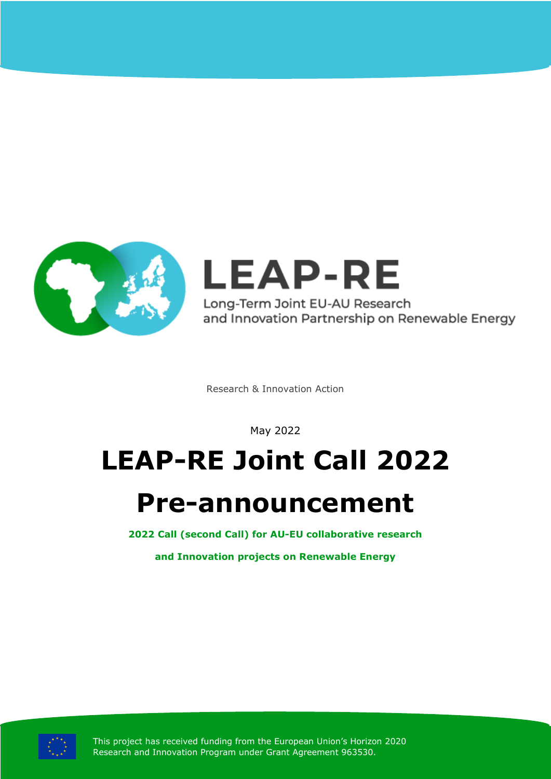

**LEAP-RE** Long-Term Joint EU-AU Research and Innovation Partnership on Renewable Energy

Research & Innovation Action

May 2022

# **LEAP-RE Joint Call 2022**

## **Pre-announcement**

**2022 Call (second Call) for AU-EU collaborative research**

**and Innovation projects on Renewable Energy**



This project has received funding from the European Union's Horizon 2020 Research and Innovation Program under Grant Agreement 963530.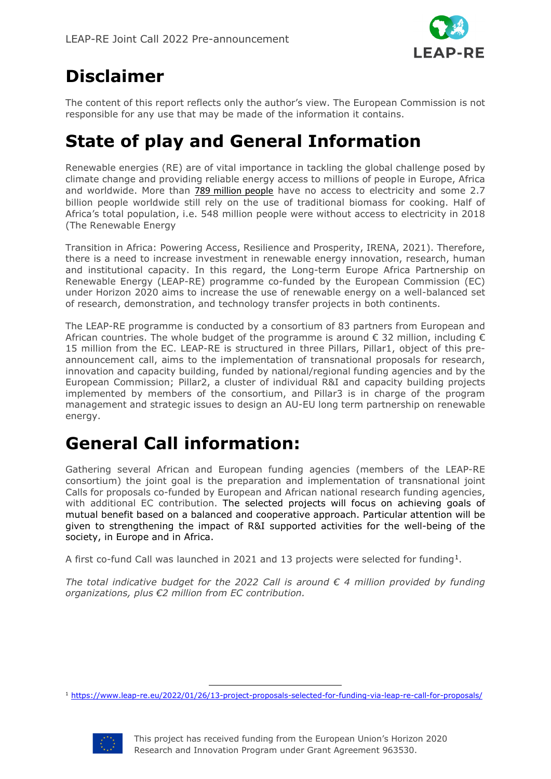

### **Disclaimer**

The content of this report reflects only the author's view. The European Commission is not responsible for any use that may be made of the information it contains.

#### **State of play and General Information**

Renewable energies (RE) are of vital importance in tackling the global challenge posed by climate change and providing reliable energy access to millions of people in Europe, Africa and worldwide. More than **[789 million people](https://www.iea.org/reports/sdg7-data-and-projections)** have no access to electricity and some 2.7 billion people worldwide still rely on the use of traditional biomass for cooking. Half of Africa's total population, i.e. 548 million people were without access to electricity in 2018 (The Renewable Energy

Transition in Africa: Powering Access, Resilience and Prosperity, IRENA, 2021). Therefore, there is a need to increase investment in renewable energy innovation, research, human and institutional capacity. In this regard, the Long-term Europe Africa Partnership on Renewable Energy (LEAP-RE) programme co-funded by the European Commission (EC) under Horizon 2020 aims to increase the use of renewable energy on a well-balanced set of research, demonstration, and technology transfer projects in both continents.

The LEAP-RE programme is conducted by a consortium of 83 partners from European and African countries. The whole budget of the programme is around € 32 million, including € 15 million from the EC. LEAP-RE is structured in three Pillars, Pillar1, object of this preannouncement call, aims to the implementation of transnational proposals for research, innovation and capacity building, funded by national/regional funding agencies and by the European Commission; Pillar2, a cluster of individual R&I and capacity building projects implemented by members of the consortium, and Pillar3 is in charge of the program management and strategic issues to design an AU-EU long term partnership on renewable energy.

#### **General Call information:**

Gathering several African and European funding agencies (members of the LEAP-RE consortium) the joint goal is the preparation and implementation of transnational joint Calls for proposals co-funded by European and African national research funding agencies, with additional EC contribution. The selected projects will focus on achieving goals of mutual benefit based on a balanced and cooperative approach. Particular attention will be given to strengthening the impact of R&I supported activities for the well-being of the society, in Europe and in Africa.

A first co-fund Call was launched in 2021 and 13 projects were selected for funding[1.](#page-1-0)

The total indicative budget for the 2022 Call is around  $\epsilon$  4 million provided by funding *organizations, plus €2 million from EC contribution.*

<span id="page-1-0"></span><sup>1</sup> <https://www.leap-re.eu/2022/01/26/13-project-proposals-selected-for-funding-via-leap-re-call-for-proposals/>

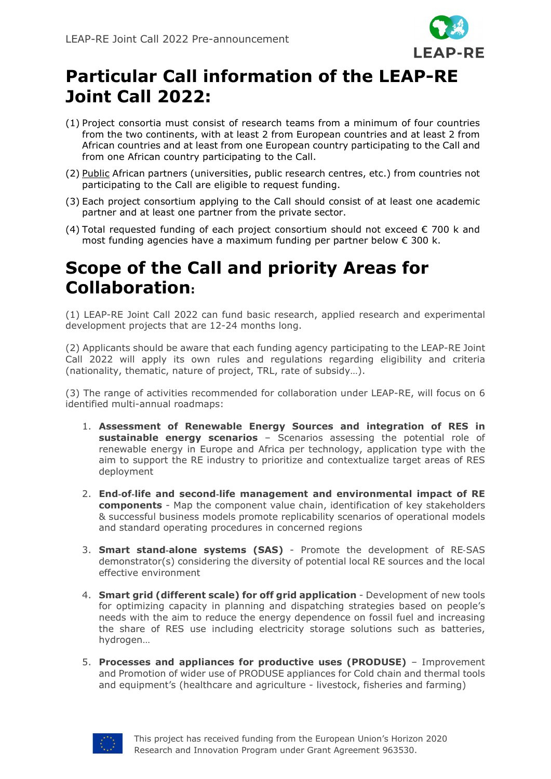

#### **Particular Call information of the LEAP-RE Joint Call 2022:**

- (1) Project consortia must consist of research teams from a minimum of four countries from the two continents, with at least 2 from European countries and at least 2 from African countries and at least from one European country participating to the Call and from one African country participating to the Call.
- (2) Public African partners (universities, public research centres, etc.) from countries not participating to the Call are eligible to request funding.
- (3) Each project consortium applying to the Call should consist of at least one academic partner and at least one partner from the private sector.
- (4) Total requested funding of each project consortium should not exceed  $\epsilon$  700 k and most funding agencies have a maximum funding per partner below  $\epsilon$  300 k.

#### **Scope of the Call and priority Areas for Collaboration:**

(1) LEAP-RE Joint Call 2022 can fund basic research, applied research and experimental development projects that are 12-24 months long.

(2) Applicants should be aware that each funding agency participating to the LEAP-RE Joint Call 2022 will apply its own rules and regulations regarding eligibility and criteria (nationality, thematic, nature of project, TRL, rate of subsidy…).

(3) The range of activities recommended for collaboration under LEAP-RE, will focus on 6 identified multi-annual roadmaps:

- 1. **Assessment of Renewable Energy Sources and integration of RES in sustainable energy scenarios** – Scenarios assessing the potential role of renewable energy in Europe and Africa per technology, application type with the aim to support the RE industry to prioritize and contextualize target areas of RES deployment
- 2. **End**‐**of**‐**life and second**‐**life management and environmental impact of RE components** - Map the component value chain, identification of key stakeholders & successful business models promote replicability scenarios of operational models and standard operating procedures in concerned regions
- 3. **Smart stand**‐**alone systems (SAS)**  Promote the development of RE‐SAS demonstrator(s) considering the diversity of potential local RE sources and the local effective environment
- 4. **Smart grid (different scale) for off grid application** Development of new tools for optimizing capacity in planning and dispatching strategies based on people's needs with the aim to reduce the energy dependence on fossil fuel and increasing the share of RES use including electricity storage solutions such as batteries, hydrogen…
- 5. **Processes and appliances for productive uses (PRODUSE)** Improvement and Promotion of wider use of PRODUSE appliances for Cold chain and thermal tools and equipment's (healthcare and agriculture - livestock, fisheries and farming)

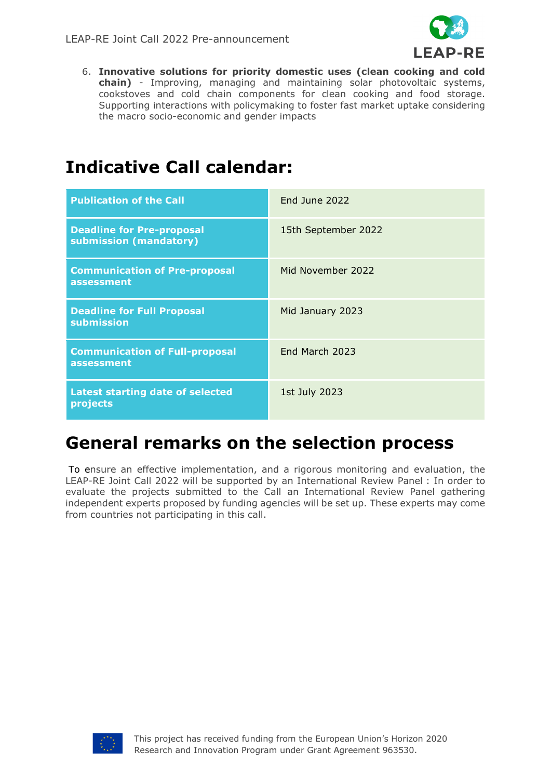

6. **Innovative solutions for priority domestic uses (clean cooking and cold chain)** - Improving, managing and maintaining solar photovoltaic systems, cookstoves and cold chain components for clean cooking and food storage. Supporting interactions with policymaking to foster fast market uptake considering the macro socio-economic and gender impacts

#### **Indicative Call calendar:**

| <b>Publication of the Call</b>                             | <b>End June 2022</b> |
|------------------------------------------------------------|----------------------|
| <b>Deadline for Pre-proposal</b><br>submission (mandatory) | 15th September 2022  |
| <b>Communication of Pre-proposal</b><br>assessment         | Mid November 2022    |
| <b>Deadline for Full Proposal</b><br>submission            | Mid January 2023     |
| <b>Communication of Full-proposal</b><br>assessment        | End March 2023       |
| <b>Latest starting date of selected</b><br>projects        | 1st July 2023        |

#### **General remarks on the selection process**

To ensure an effective implementation, and a rigorous monitoring and evaluation, the LEAP-RE Joint Call 2022 will be supported by an International Review Panel : In order to evaluate the projects submitted to the Call an International Review Panel gathering independent experts proposed by funding agencies will be set up. These experts may come from countries not participating in this call.

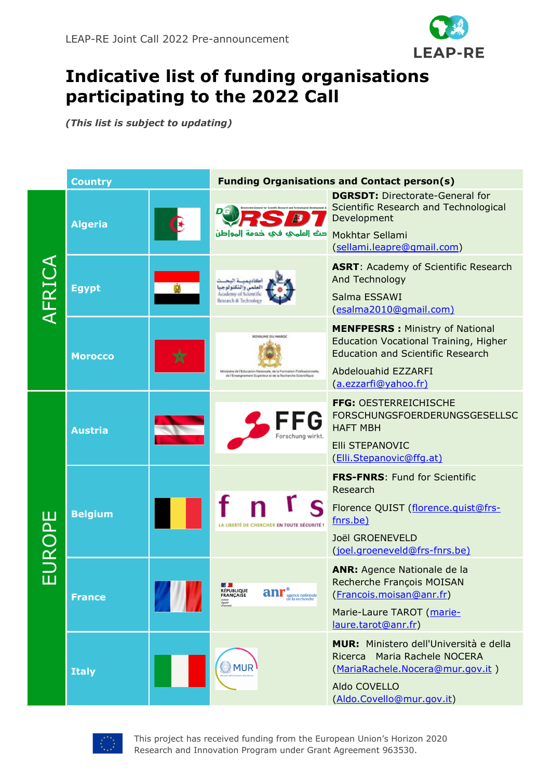

#### **Indicative list of funding organisations participating to the 2022 Call**

*(This list is subject to updating)*

|        | <b>Country</b> |  | <b>Funding Organisations and Contact person(s)</b>                                                                                                      |                                                                                                                                                                                   |
|--------|----------------|--|---------------------------------------------------------------------------------------------------------------------------------------------------------|-----------------------------------------------------------------------------------------------------------------------------------------------------------------------------------|
| AFRICA | <b>Algeria</b> |  | حث الملهجه فجه خدمة المواطن                                                                                                                             | <b>DGRSDT: Directorate-General for</b><br>Scientific Research and Technological<br>Development<br>Mokhtar Sellami<br>(sellami.leapre@gmail.com)                                   |
|        | <b>Egypt</b>   |  | كاديهيبة البح<br>لعلمى والتكنولوجيا<br>Academy of Scientific<br>Research & Technology                                                                   | <b>ASRT: Academy of Scientific Research</b><br>And Technology<br>Salma ESSAWI<br>(esalma2010@qmail.com)                                                                           |
|        | <b>Morocco</b> |  | ROYAUME DU MAROC<br>Ministère de l'Education Nationale, de la Formation Professionnelle,<br>de l'Enseignement Supérieur et de la Recherche Scientifique | <b>MENFPESRS: Ministry of National</b><br><b>Education Vocational Training, Higher</b><br><b>Education and Scientific Research</b><br>Abdelouahid EZZARFI<br>(a.ezzarfi@yahoo.fr) |
| EUROPE | <b>Austria</b> |  | orschung wirkt                                                                                                                                          | FFG: OESTERREICHISCHE<br><b>FORSCHUNGSFOERDERUNGSGESELLSC</b><br><b>HAFT MBH</b><br><b>Elli STEPANOVIC</b><br>(Elli.Stepanovic@ffq.at)                                            |
|        | <b>Belgium</b> |  | LA LIBERTÉ DE CHERCHER EN TOUTE SÉCURITÉ !                                                                                                              | <b>FRS-FNRS: Fund for Scientific</b><br>Research<br>Florence QUIST (florence.quist@frs-<br>fnrs.be)<br>Joël GROENEVELD<br>(joel.groeneveld@frs-fnrs.be)                           |
|        | <b>France</b>  |  | БĐ.<br><b>RÉPUBLIQUE</b><br>FRANÇAISE<br>$\mathbf{anr}^\circ$ <sub>agence nationale</sub><br>Liberté<br>Égalité<br>Fraternité                           | <b>ANR:</b> Agence Nationale de la<br>Recherche François MOISAN<br>(Francois.moisan@anr.fr)<br>Marie-Laure TAROT (marie-<br>laure.tarot@anr.fr)                                   |
|        | <b>Italy</b>   |  | <b>MUR</b>                                                                                                                                              | <b>MUR:</b> Ministero dell'Università e della<br>Ricerca Maria Rachele NOCERA<br>(MariaRachele.Nocera@mur.gov.it)<br>Aldo COVELLO<br>(Aldo.Covello@mur.gov.it)                    |



This project has received funding from the European Union's Horizon 2020 Research and Innovation Program under Grant Agreement 963530.